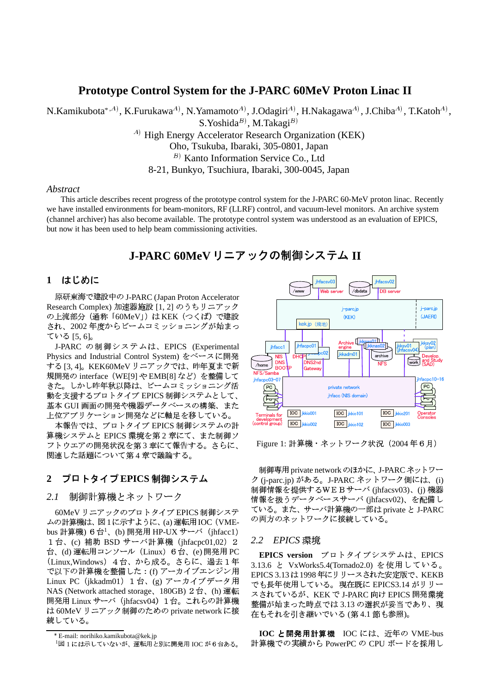# **Prototype Control System for the J-PARC 60MeV Proton Linac II**

N.Kamikubota\*, $^{A}$ ), K.Furukawa $^{A}$ ), N.Yamamoto $^{A}$ ), J.Odagiri $^{A}$ ), H.Nakagawa $^{A}$ ), J.Chiba $^{A}$ ), T.Katoh $^{A}$ ), S.Yoshida $^B$ ), M.Takagi $^B$ )

 $^{(A)}$  High Energy Accelerator Research Organization (KEK)

Oho, Tsukuba, Ibaraki, 305-0801, Japan

 $^{B)}$  Kanto Information Service Co., Ltd

8-21, Bunkyo, Tsuchiura, Ibaraki, 300-0045, Japan

### *Abstract*

This article describes recent progress of the prototype control system for the J-PARC 60-MeV proton linac. Recently we have installed environments for beam-monitors, RF (LLRF) control, and vacuum-level monitors. An archive system (channel archiver) has also become available. The prototype control system was understood as an evaluation of EPICS, but now it has been used to help beam commissioning activities.

# **J-PARC 60MeV II**

### **1**

原研東海で建設中の J-PARC (Japan Proton Accelerator Research Complex) 加速器施設 [1, 2] のうちリニアック の上流部分 (通称「60MeV」) は KEK (つくば) で建設 され、2002 年度からビームコミッショニングが始まっ ている [5, 6]。

J-PARC の制御システムは、EPICS(Experimental Physics and Industrial Control System) をベースに開発<br>オスロコ KEK60MeV リーアックでけ、昨年頁キで新 する [3, 4]。KEK60MeV リニアックでは、昨年夏まで新 └△ 規開発の interface(WE[9] や EMB[8] など)を整備して ― 〝" きた。しかし昨年秋以降は、ビームコミッショニング活 動を支援するプロトタイプ EPICS 制御システムとして、 基本 GUI 画面の開発や機器データベースの構築、また 上位アプリケーション開発などに軸足を移している。

' <sup>L</sup> <sup>S</sup> (&( EPICS k+l>^m#n [ .# 算機システムと EPICS 環境を第2章にて、また制御ソ フトウエアの開発状況を第3章にて報告する。さらに、 関連した話題について第4章で議論する。

### 2 プロトタイプ EPICS 制御システム

2.*1* 制御計算機とネットワーク

60MeV リニアックのプロトタイプ EPICS 制御システ ムの計算機は、図 1 に示すように、(a) 運転用 IOC(VMEbus 計算機) 6台<sup>1</sup>、(b) 開発用 HP-UX サーバ(jhfacc1) 1台、(c) 補助 BSD サーバ計算機(jhfacpc01,02)2 台、(d) 運転用コンソール(Linux)6台、(e) 開発用 PC ― (Linux,Windows)4台、から成る。さらに、過去1年 で以下の計算機を整備した : (f) アーカイブエンジン用 FE Linux PC(jkkadm01)1台、(g) アーカイブデータ用 ~ <sub>で</sub> NAS (Network attached storage、180GB) 2台、(h) 運転  $\qquad \qquad \chi$ 開発用 Linux サーバ(jhfacsv04)1台。これらの計算機 <sub>整</sub>稿 は 60MeV リニアック制御のための private network に接 続している。



Figure 1: 計算機・ネットワーク状況(2004 年6月)

制御専用 private network のほかに、 J-PARC ネットワー ク (j-parc.jp) がある。J-PARC ネットワーク側には、(i) 制御情報を提供するWEBサーバ (jhfacsv03)、(j) 機器 情報を扱うデータベースサーバ (jhfacsv02)、を配備し ている。また、サーバ計算機の一部は private と J-PARC の両方のネットワークに接続している。

### 2.2 *EPICS* 環境

艹 3.13.6 と VxWorks5.4(Tornado2.0) を使用している。 **EPICS version** プロトタイプシステムは、EPICS EPICS 3.13 は 1998 年にリリースされた安定版で、KEKB でも長年使用している。現在既に EPICS3.14 がリリー スされているが、KEK で J-PARC 向け EPICS 開発環境 整備が始まった時点では 3.13 の選択が妥当であり、現 在もそれを引き継いでいる (第 4.1 節も参照)。

**IOC と開発用計算機** IOC には、近年の VME-bus 計算機での実績から PowerPC の CPU ボードを採用

<sup>æ</sup> E-mail: norihiko.kamikubota@kek.jp

 $1$ 図 1 には示していないが、運転用と別に開発用 IOC が6台ある。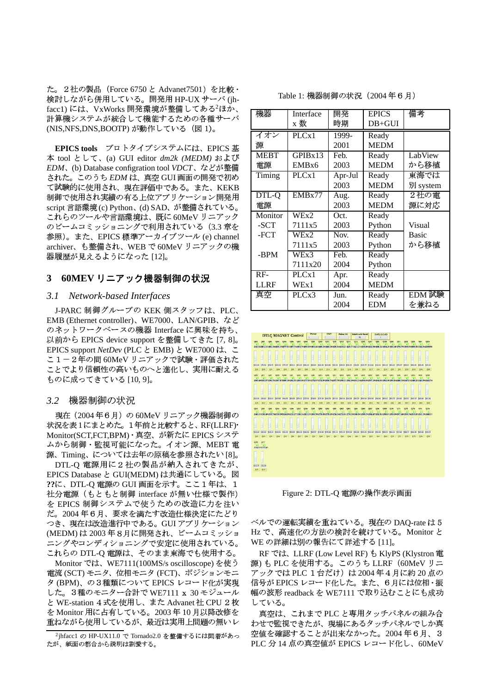た。2社の製品 (Force 6750 と Advanet7501) を比較· 検討しながら併用している。開発用 HP-UX サーバ (jhfacc1)には、VxWorks 開発環境が整備してある<sup>2</sup>ほか、 計算機システムが統合して機能するための各種サーバ (NIS,NFS,DNS,BOOTP)が動作している (図1)。

EPICS tools プロトタイプシステムには、EPICS 基 本 tool として、(a) GUI editor dm2k (MEDM) および EDM、(b) Database configration tool VDCT、などが整備 された。このうち EDM は、真空 GUI 画面の開発で初め て試験的に使用され、現在評価中である。また、KEKB 制御で使用され実績の有る上位アプリケーション開発用 script 言語環境 (c) Python、(d) SAD、が整備されている。 これらのツールや言語環境は、既に60MeVリニアック のビームコミッショニングで利用されている (3.3 章を 参照)。また、EPICS 標準アーカイブツール (e) channel archiver、も整備され、WEB で60MeV リニアックの機 器履歴が見えるようになった [12]。

### 3 60MEV リニアック機器制御の状況

#### $3.1$ Network-based Interfaces

J-PARC 制御グループの KEK 側スタッフは、PLC、 EMB (Ethernet controller)、WE7000、LAN/GPIB、など のネットワークベースの機器 Interface に興味を持ち、 以前から EPICS device support を整備してきた [7, 8]。 EPICS support NetDev (PLC と EMB) と WE7000 は、こ こ1-2年の間 60MeV リニアックで試験・評価された ことでより信頼性の高いものへと進化し、実用に耐える ものに成ってきている [10,9]。

### 3.2 機器制御の状況

現在 (2004年6月) の 60MeV リニアック機器制御の 状況を表1にまとめた。1年前と比較すると、RF(LLRF)· Monitor(SCT,FCT,BPM) · 真空、が新たに EPICS システ ムから制御・監視可能になった。イオン源、MEBT 電 源、Timing、については去年の原稿を参照されたい[8]。

DTL-Q 電源用に2社の製品が納入されてきたが、 EPICS Database と GUI(MEDM) は共通にしている。図 ??に、DTL-Q 電源の GUI 画面を示す。ここ1年は、1 社分電源(もともと制御 interface が無い仕様で製作) を EPICS 制御システムで使うための改造に力を注い だ。2004年6月、要求を満たす改造仕様決定にたどり つき、現在は改造進行中である。GUIアプリケーション (MEDM) は 2003 年8月に開発され、ビームコミッショ ニングやコンディショニングで安定に使用されている。 これらの DTL-Q 電源は、そのまま東海でも使用する。

Monitor では、WE7111(100MS/s oscilloscope) を使う 電流 (SCT) モニタ、位相モニタ (FCT)、ポジションモニ タ (BPM)、の3種類について EPICS レコード化が実現 した。3種のモニター合計で WE7111 x 30 モジュール と WE-station 4 式を使用し、また Advanet 社 CPU 2 枚 を Monitor 用に占有している。2003年10月以降改修を 重ねながら使用しているが、最近は実用上問題の無いレ Table 1: 機器制御の状況 (2004年6月)

| 機器          | Interface         | 開発      | <b>EPICS</b> | 備考       |
|-------------|-------------------|---------|--------------|----------|
|             | x 数               | 時期      | $DB+GUI$     |          |
| イオン         | PLCx1             | 1999-   | Ready        |          |
| 源           |                   | 2001    | <b>MEDM</b>  |          |
| <b>MEBT</b> | GPIBx13           | Feb.    | Ready        | LabView  |
| 電源          | EMB <sub>x6</sub> | 2003    | <b>MEDM</b>  | から移植     |
| Timing      | PLCx1             | Apr-Jul | Ready        | 東海では     |
|             |                   | 2003    | <b>MEDM</b>  | 別 system |
| DTL-Q       | EMBx77            | Aug.    | Ready        | 2社の電     |
| 電源          |                   | 2003    | <b>MEDM</b>  | 源に対応     |
| Monitor     | WEx2              | Oct.    | Ready        |          |
| -SCT        | 7111x5            | 2003    | Python       | Visual   |
| -FCT        | WEx2              | Nov.    | Ready        | Basic    |
|             | 7111x5            | 2003    | Python       | から移植     |
| -BPM        | WEx3              | Feb.    | Ready        |          |
|             | 7111x20           | 2004    | Python       |          |
| $RF-$       | PLCx1             | Apr.    | Ready        |          |
| <b>LLRF</b> | WEx1              | 2004    | <b>MEDM</b>  |          |
| 真空          | PLCx3             | Jun.    | Ready        | EDM 試験   |
|             |                   | 2004    | <b>EDM</b>   | を兼ねる     |



Figure 2: DTL-Q 電源の操作表示画面

ベルでの運転実績を重ねている。現在のDAQ-rateは5 Hz で、高速化の方法の検討を続けている。Monitor と WE の詳細は別の報告にて詳述する [11]。

RF では、LLRF (Low Level RF) も KlyPS (Klystron 電 源) も PLC を使用する。このうち LLRF (60MeV リニ アックでは PLC 1台だけ)は2004年4月に約20点の 信号が EPICS レコード化した。また、6月には位相·振 幅の波形 readback を WE7111 で取り込むことにも成功 している。

真空は、これまで PLC と専用タッチパネルの組み合 わせで監視できたが、現場にあるタッチパネルでしか真 空値を確認することが出来なかった。2004年6月、3 PLC 分 14 点の真空値が EPICS レコード化し、60MeV

<sup>&</sup>lt;sup>2</sup>jhfacc1 の HP-UX11.0 で Tornado2.0 を整備するには悶着があっ たが、紙面の都合から説明は割愛する。